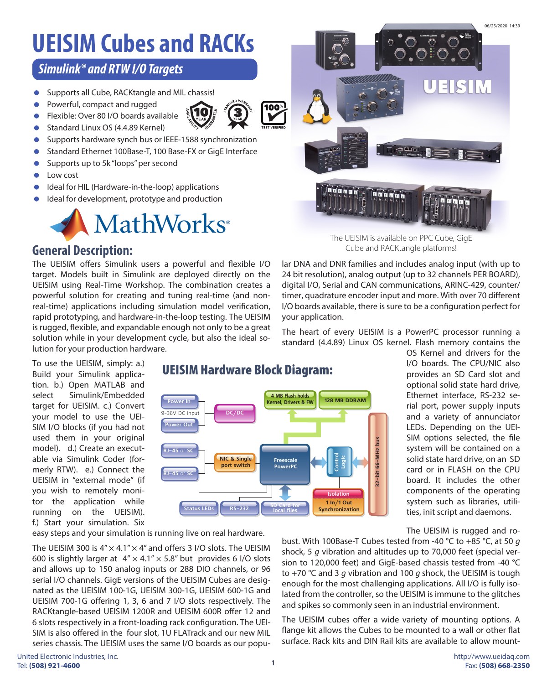## **UEISIM Cubes and RACKs**

### *Simulink® and RTW I/O Targets*

- **Supports all Cube, RACKtangle and MIL chassis!**
- **•** Powerful, compact and rugged
- Flexible: Over 80 I/O boards available
- Standard Linux OS (4.4.89 Kernel)
- **Supports hardware synch bus or IEEE-1588 synchronization**
- Standard Ethernet 100Base-T, 100 Base-FX or GigE Interface
- **Supports up to 5k "loops" per second**
- Low cost
- Ideal for HIL (Hardware-in-the-loop) applications
- Ideal for development, prototype and production



### **General Description:**

The UEISIM offers Simulink users a powerful and flexible I/O target. Models built in Simulink are deployed directly on the UEISIM using Real-Time Workshop. The combination creates a powerful solution for creating and tuning real-time (and nonreal-time) applications including simulation model verification, rapid prototyping, and hardware-in-the-loop testing. The UEISIM is rugged, flexible, and expandable enough not only to be a great solution while in your development cycle, but also the ideal solution for your production hardware.

To use the UEISIM, simply: a.) Build your Simulink application. b.) Open MATLAB and select Simulink/Embedded target for UEISIM. c.) Convert your model to use the UEI-SIM I/O blocks (if you had not used them in your original model). d.) Create an executable via Simulink Coder (formerly RTW). e.) Connect the UEISIM in "external mode" (if you wish to remotely monitor the application while running on the UEISIM). f.) Start your simulation. Six

### UEISIM Hardware Block Diagram:



OS Kernel and drivers for the I/O boards. The CPU/NIC also provides an SD Card slot and optional solid state hard drive, Ethernet interface, RS-232 serial port, power supply inputs and a variety of annunciator LEDs. Depending on the UEI-SIM options selected, the file system will be contained on a solid state hard drive, on an SD card or in FLASH on the CPU board. It includes the other components of the operating system such as libraries, utilities, init script and daemons.

The UEISIM is rugged and ro-

The UEISIM 300 is  $4'' \times 4.1'' \times 4''$  and offers 3 I/O slots. The UEISIM 600 is slightly larger at  $4'' \times 4.1'' \times 5.8''$  but provides 6 I/O slots and allows up to 150 analog inputs or 288 DIO channels, or 96 serial I/O channels. GigE versions of the UEISIM Cubes are designated as the UEISIM 100-1G, UEISIM 300-1G, UEISIM 600-1G and UEISIM 700-1G offering 1, 3, 6 and 7 I/O slots respectively. The RACKtangle-based UEISIM 1200R and UEISIM 600R offer 12 and 6 slots respectively in a front-loading rack configuration. The UEI-SIM is also offered in the four slot, 1U FLATrack and our new MIL series chassis. The UEISIM uses the same I/O boards as our popu-

easy steps and your simulation is running live on real hardware.

bust. With 100Base-T Cubes tested from -40 °C to +85 °C, at 50 *g* shock, 5 *g* vibration and altitudes up to 70,000 feet (special version to 120,000 feet) and GigE-based chassis tested from -40 °C to +70 °C and 3 *g* vibration and 100 *g* shock, the UEISIM is tough enough for the most challenging applications. All I/O is fully isolated from the controller, so the UEISIM is immune to the glitches and spikes so commonly seen in an industrial environment.

The UEISIM cubes offer a wide variety of mounting options. A flange kit allows the Cubes to be mounted to a wall or other flat surface. Rack kits and DIN Rail kits are available to allow mount-

# **100\***  $\mathbb{C}^{\mathrm{H}\mathrm{u}}$  ,  $\mathbb{R}$  ,  $\mathbb{R}$

The UEISIM is available on PPC Cube, GigE Cube and RACKtangle platforms!

lar DNA and DNR families and includes analog input (with up to 24 bit resolution), analog output (up to 32 channels PER BOARD), digital I/O, Serial and CAN communications, ARINC-429, counter/ timer, quadrature encoder input and more. With over 70 different I/O boards available, there is sure to be a configuration perfect for your application.

The heart of every UEISIM is a PowerPC processor running a standard (4.4.89) Linux OS kernel. Flash memory contains the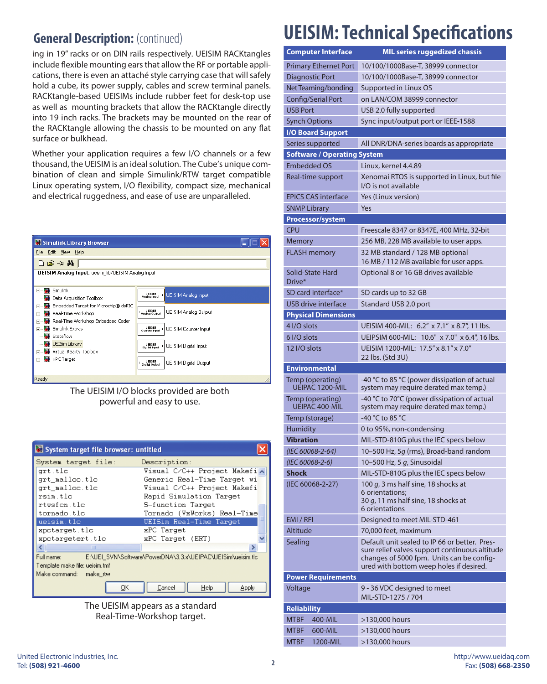### **General Description: (continued)**

ing in 19" racks or on DIN rails respectively. UEISIM RACKtangles include flexible mounting ears that allow the RF or portable applications, there is even an attaché style carrying case that will safely hold a cube, its power supply, cables and screw terminal panels. RACKtangle-based UEISIMs include rubber feet for desk-top use as well as mounting brackets that allow the RACKtangle directly into 19 inch racks. The brackets may be mounted on the rear of the RACKtangle allowing the chassis to be mounted on any flat surface or bulkhead.

Whether your application requires a few I/O channels or a few thousand, the UEISIM is an ideal solution. The Cube's unique combination of clean and simple Simulink/RTW target compatible Linux operating system, I/O flexibility, compact size, mechanical and electrical ruggedness, and ease of use are unparalleled.

| Simulink Library Browser                                                                                                                                                                           |                                                                                                            |  |  |  |
|----------------------------------------------------------------------------------------------------------------------------------------------------------------------------------------------------|------------------------------------------------------------------------------------------------------------|--|--|--|
| File<br>Edit View<br>Help                                                                                                                                                                          |                                                                                                            |  |  |  |
| 口口叫的<br>UEISIM Analog Input: ueisim_lib/UEISIM Analog Input                                                                                                                                        |                                                                                                            |  |  |  |
| <b>Simulink</b><br>ы<br>$\overline{+}$<br>Data Acquisition Toolbox<br>Embedded Target for Microchip® dsPIC<br>$\overline{+}$                                                                       | UEISM<br>Analog houl<br><b>UEISIM Analog Input</b><br>UEISM<br>Analog Oubul<br><b>UEISIM Analog Output</b> |  |  |  |
| Real-Time Workshop<br>÷,<br>Real-Time Workshop Embedded Coder<br>$+$<br>Simulink Extras<br>$\overline{+}$<br>Stateflow<br><b>UEISim Library</b><br>Virtual Reality Toolbox<br>Ė<br>xPC Target<br>Ė | UEISM<br>Counter Input<br><b>UEISIM Counter Input</b>                                                      |  |  |  |
|                                                                                                                                                                                                    | UEIGM<br>UEISIM Digital Input<br>Digital Input                                                             |  |  |  |
| Ready                                                                                                                                                                                              | UEISM<br>Digital Oubul<br><b>UEISIM Digital Output</b>                                                     |  |  |  |

The UEISIM I/O blocks provided are both powerful and easy to use.

| System target file browser: untitled                                      |                             |  |  |  |
|---------------------------------------------------------------------------|-----------------------------|--|--|--|
| System target file:                                                       | Description:                |  |  |  |
| grt.tlc                                                                   | Visual C/C++ Project Makefi |  |  |  |
| grt malloc.tlc                                                            | Generic Real-Time Target wi |  |  |  |
| grt malloc.tlc                                                            | Visual C/C++ Project Makefi |  |  |  |
| rsim tle                                                                  | Rapid Simulation Target     |  |  |  |
| rtwsfen tle                                                               | S-function Target           |  |  |  |
| tornado.tlc                                                               | Tornado (VxWorks) Real-Time |  |  |  |
| ueisim.tlc                                                                | UEISim Real-Time Target     |  |  |  |
| xpotarget.tlc                                                             | xPC Target                  |  |  |  |
| xpotargetert.tlc                                                          | xPC Target (ERT)            |  |  |  |
| ШI                                                                        |                             |  |  |  |
| Full name:<br>E:\UEI_SVN\Software\PowerDNA\3.3.x\UEIPAC\UEISim\ueisim.tlc |                             |  |  |  |
| Template make file: ueisim.tmf                                            |                             |  |  |  |
| Make command: make rtw                                                    |                             |  |  |  |
| OΚ                                                                        | Help<br>Cancel<br>Apply     |  |  |  |



### **UEISIM: Technical Specifications**

| <b>Computer Interface</b>                 | <b>MIL series ruggedized chassis</b>                                                                                                                                                    |  |  |
|-------------------------------------------|-----------------------------------------------------------------------------------------------------------------------------------------------------------------------------------------|--|--|
| <b>Primary Ethernet Port</b>              | 10/100/1000Base-T, 38999 connector                                                                                                                                                      |  |  |
| Diagnostic Port                           | 10/100/1000Base-T, 38999 connector                                                                                                                                                      |  |  |
| Net Teaming/bonding                       | Supported in Linux OS                                                                                                                                                                   |  |  |
| Config/Serial Port                        | on LAN/COM 38999 connector                                                                                                                                                              |  |  |
| <b>USB Port</b>                           | USB 2.0 fully supported                                                                                                                                                                 |  |  |
| <b>Synch Options</b>                      | Sync input/output port or IEEE-1588                                                                                                                                                     |  |  |
| <b>I/O Board Support</b>                  |                                                                                                                                                                                         |  |  |
| Series supported                          | All DNR/DNA-series boards as appropriate                                                                                                                                                |  |  |
| <b>Software / Operating System</b>        |                                                                                                                                                                                         |  |  |
| <b>Embedded OS</b>                        | Linux, kernel 4.4.89                                                                                                                                                                    |  |  |
| Real-time support                         | Xenomai RTOS is supported in Linux, but file<br>I/O is not available                                                                                                                    |  |  |
| <b>EPICS CAS interface</b>                | Yes (Linux version)                                                                                                                                                                     |  |  |
| <b>SNMP Library</b>                       | Yes                                                                                                                                                                                     |  |  |
| Processor/system                          |                                                                                                                                                                                         |  |  |
| <b>CPU</b>                                | Freescale 8347 or 8347E, 400 MHz, 32-bit                                                                                                                                                |  |  |
| Memory                                    | 256 MB, 228 MB available to user apps.                                                                                                                                                  |  |  |
| <b>FLASH memory</b>                       | 32 MB standard / 128 MB optional<br>16 MB / 112 MB available for user apps.                                                                                                             |  |  |
| Solid-State Hard<br>Drive*                | Optional 8 or 16 GB drives available                                                                                                                                                    |  |  |
| SD card interface*                        | SD cards up to 32 GB                                                                                                                                                                    |  |  |
| USB drive interface                       | Standard USB 2.0 port                                                                                                                                                                   |  |  |
| <b>Physical Dimensions</b>                |                                                                                                                                                                                         |  |  |
| 4 I/O slots                               | UEISIM 400-MIL: 6.2" x 7.1" x 8.7", 11 lbs.                                                                                                                                             |  |  |
| 6 I/O slots                               | UEIPSIM 600-MIL: 10.6" x 7.0" x 6.4", 16 lbs.                                                                                                                                           |  |  |
| 12 I/O slots                              | UEISIM 1200-MIL: 17.5" x 8.1" x 7.0"<br>22 lbs. (Std 3U)                                                                                                                                |  |  |
| <b>Environmental</b>                      |                                                                                                                                                                                         |  |  |
| Temp (operating)<br>UEIPAC 1200-MIL       | -40 °C to 85 °C (power dissipation of actual<br>system may require derated max temp.)                                                                                                   |  |  |
| Temp (operating)<br><b>UEIPAC 400-MIL</b> | -40 °C to 70°C (power dissipation of actual<br>system may require derated max temp.)                                                                                                    |  |  |
| Temp (storage)                            | -40 °C to 85 °C                                                                                                                                                                         |  |  |
| <b>Humidity</b>                           | 0 to 95%, non-condensing                                                                                                                                                                |  |  |
| <b>Vibration</b>                          | MIL-STD-810G plus the IEC specs below                                                                                                                                                   |  |  |
| (IEC 60068-2-64)                          | 10-500 Hz, 5q (rms), Broad-band random                                                                                                                                                  |  |  |
| (IEC 60068-2-6)                           | 10-500 Hz, 5 g, Sinusoidal                                                                                                                                                              |  |  |
| Shock                                     | MIL-STD-810G plus the IEC specs below                                                                                                                                                   |  |  |
| (IEC 60068-2-27)                          | 100 g, 3 ms half sine, 18 shocks at<br>6 orientations:<br>30 $q$ , 11 ms half sine, 18 shocks at<br>6 orientations                                                                      |  |  |
| EMI / RFI                                 | Designed to meet MIL-STD-461                                                                                                                                                            |  |  |
| Altitude                                  | 70,000 feet, maximum                                                                                                                                                                    |  |  |
| Sealing                                   | Default unit sealed to IP 66 or better. Pres-<br>sure relief valves support continuous altitude<br>changes of 5000 fpm. Units can be config-<br>ured with bottom weep holes if desired. |  |  |
| <b>Power Requirements</b>                 |                                                                                                                                                                                         |  |  |
| Voltage                                   | 9 - 36 VDC designed to meet<br>MIL-STD-1275 / 704                                                                                                                                       |  |  |
| <b>Reliability</b>                        |                                                                                                                                                                                         |  |  |
| <b>MTBF</b><br>400-MIL                    | >130,000 hours                                                                                                                                                                          |  |  |
| <b>MTBF</b><br>600-MIL                    | >130,000 hours                                                                                                                                                                          |  |  |
| <b>MTBF</b><br>1200-MIL                   | >130,000 hours                                                                                                                                                                          |  |  |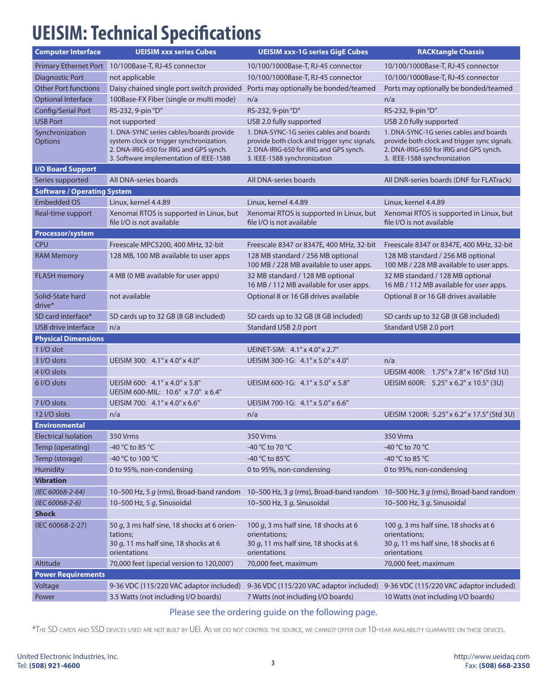## **UEISIM: Technical Specifications**

| <b>Computer Interface</b>          | <b>UEISIM xxx series Cubes</b>                                                                                                                                             | <b>UEISIM xxx-1G series GigE Cubes</b>                                                                                                                             | <b>RACKtangle Chassis</b>                                                                                                                                          |  |  |  |
|------------------------------------|----------------------------------------------------------------------------------------------------------------------------------------------------------------------------|--------------------------------------------------------------------------------------------------------------------------------------------------------------------|--------------------------------------------------------------------------------------------------------------------------------------------------------------------|--|--|--|
| <b>Primary Ethernet Port</b>       | 10/100Base-T, RJ-45 connector                                                                                                                                              | 10/100/1000Base-T, RJ-45 connector                                                                                                                                 | 10/100/1000Base-T, RJ-45 connector                                                                                                                                 |  |  |  |
| <b>Diagnostic Port</b>             | not applicable                                                                                                                                                             | 10/100/1000Base-T, RJ-45 connector                                                                                                                                 | 10/100/1000Base-T, RJ-45 connector                                                                                                                                 |  |  |  |
| <b>Other Port functions</b>        | Daisy chained single port switch provided                                                                                                                                  | Ports may optionally be bonded/teamed                                                                                                                              | Ports may optionally be bonded/teamed                                                                                                                              |  |  |  |
| <b>Optional Interface</b>          | 100Base-FX Fiber (single or multi mode)                                                                                                                                    | n/a                                                                                                                                                                | n/a                                                                                                                                                                |  |  |  |
| Config/Serial Port                 | RS-232, 9-pin "D"                                                                                                                                                          | RS-232, 9-pin "D"                                                                                                                                                  | RS-232, 9-pin "D"                                                                                                                                                  |  |  |  |
| <b>USB Port</b>                    | not supported                                                                                                                                                              | USB 2.0 fully supported                                                                                                                                            | USB 2.0 fully supported                                                                                                                                            |  |  |  |
| Synchronization<br><b>Options</b>  | 1. DNA-SYNC series cables/boards provide<br>system clock or trigger synchronization.<br>2. DNA-IRIG-650 for IRIG and GPS synch.<br>3. Software implementation of IEEE-1588 | 1. DNA-SYNC-1G series cables and boards<br>provide both clock and trigger sync signals.<br>2. DNA-IRIG-650 for IRIG and GPS synch.<br>3. IEEE-1588 synchronization | 1. DNA-SYNC-1G series cables and boards<br>provide both clock and trigger sync signals.<br>2. DNA-IRIG-650 for IRIG and GPS synch.<br>3. IEEE-1588 synchronization |  |  |  |
| <b>I/O Board Support</b>           |                                                                                                                                                                            |                                                                                                                                                                    |                                                                                                                                                                    |  |  |  |
| Series supported                   | All DNA-series boards                                                                                                                                                      | All DNA-series boards                                                                                                                                              | All DNR-series boards (DNF for FLATrack)                                                                                                                           |  |  |  |
| <b>Software / Operating System</b> |                                                                                                                                                                            |                                                                                                                                                                    |                                                                                                                                                                    |  |  |  |
| <b>Embedded OS</b>                 | Linux, kernel 4.4.89                                                                                                                                                       | Linux, kernel 4.4.89                                                                                                                                               | Linux, kernel 4.4.89                                                                                                                                               |  |  |  |
| Real-time support                  | Xenomai RTOS is supported in Linux, but<br>file I/O is not available                                                                                                       | Xenomai RTOS is supported in Linux, but<br>file I/O is not available                                                                                               | Xenomai RTOS is supported in Linux, but<br>file I/O is not available                                                                                               |  |  |  |
| <b>Processor/system</b>            |                                                                                                                                                                            |                                                                                                                                                                    |                                                                                                                                                                    |  |  |  |
| <b>CPU</b>                         | Freescale MPC5200, 400 MHz, 32-bit                                                                                                                                         | Freescale 8347 or 8347E, 400 MHz, 32-bit                                                                                                                           | Freescale 8347 or 8347E, 400 MHz, 32-bit                                                                                                                           |  |  |  |
| <b>RAM Memory</b>                  | 128 MB, 100 MB available to user apps                                                                                                                                      | 128 MB standard / 256 MB optional<br>100 MB / 228 MB available to user apps.                                                                                       | 128 MB standard / 256 MB optional<br>100 MB / 228 MB available to user apps.                                                                                       |  |  |  |
| <b>FLASH memory</b>                | 4 MB (0 MB available for user apps)                                                                                                                                        | 32 MB standard / 128 MB optional<br>16 MB / 112 MB available for user apps.                                                                                        | 32 MB standard / 128 MB optional<br>16 MB / 112 MB available for user apps.                                                                                        |  |  |  |
| Solid-State hard<br>drive*         | not available                                                                                                                                                              | Optional 8 or 16 GB drives available                                                                                                                               | Optional 8 or 16 GB drives available                                                                                                                               |  |  |  |
| SD card interface*                 | SD cards up to 32 GB (8 GB included)                                                                                                                                       | SD cards up to 32 GB (8 GB included)                                                                                                                               | SD cards up to 32 GB (8 GB included)                                                                                                                               |  |  |  |
| <b>USB</b> drive interface         | n/a                                                                                                                                                                        | Standard USB 2.0 port                                                                                                                                              | Standard USB 2.0 port                                                                                                                                              |  |  |  |
| <b>Physical Dimensions</b>         |                                                                                                                                                                            |                                                                                                                                                                    |                                                                                                                                                                    |  |  |  |
| 1 I/O slot                         |                                                                                                                                                                            | UEINET-SIM: $4.1'' \times 4.0'' \times 2.7''$                                                                                                                      |                                                                                                                                                                    |  |  |  |
| 3 I/O slots                        | UEISIM 300: 4.1" x 4.0" x 4.0"                                                                                                                                             | UEISIM 300-1G: 4.1" x 5.0" x 4.0"                                                                                                                                  | n/a                                                                                                                                                                |  |  |  |
| 4 I/O slots                        |                                                                                                                                                                            |                                                                                                                                                                    | UEISIM 400R: 1.75" x 7.8" x 16" (Std 1U)                                                                                                                           |  |  |  |
| 6 I/O slots                        | UEISIM 600: 4.1" x 4.0" x 5.8"<br>UEISIM 600-MIL: 10.6" x 7.0" x 6.4"                                                                                                      | UEISIM 600-1G: 4.1" x 5.0" x 5.8"                                                                                                                                  | UEISIM 600R: 5.25" x 6.2" x 10.5" (3U)                                                                                                                             |  |  |  |
| 7 I/O slots                        | UEISIM 700: 4.1" x 4.0" x 6.6"                                                                                                                                             | UEISIM 700-1G: 4.1" x 5.0" x 6.6"                                                                                                                                  |                                                                                                                                                                    |  |  |  |
| 12 I/O slots                       | n/a                                                                                                                                                                        | n/a                                                                                                                                                                | UEISIM 1200R: 5.25" x 6.2" x 17.5" (Std 3U)                                                                                                                        |  |  |  |
| <b>Environmental</b>               |                                                                                                                                                                            |                                                                                                                                                                    |                                                                                                                                                                    |  |  |  |
| <b>Electrical Isolation</b>        | 350 Vrms                                                                                                                                                                   | 350 Vrms                                                                                                                                                           | 350 Vrms                                                                                                                                                           |  |  |  |
| Temp (operating)                   | -40 °C to 85 °C                                                                                                                                                            | -40 °C to 70 °C                                                                                                                                                    | -40 °C to 70 °C                                                                                                                                                    |  |  |  |
| Temp (storage)                     | -40 °C to 100 °C                                                                                                                                                           | -40 °C to 85°C                                                                                                                                                     | -40 °C to 85 °C                                                                                                                                                    |  |  |  |
| Humidity                           | 0 to 95%, non-condensing                                                                                                                                                   | 0 to 95%, non-condensing                                                                                                                                           | 0 to 95%, non-condensing                                                                                                                                           |  |  |  |
| <b>Vibration</b>                   |                                                                                                                                                                            |                                                                                                                                                                    |                                                                                                                                                                    |  |  |  |
| (IEC 60068-2-64)                   | 10–500 Hz, 5 $q$ (rms), Broad-band random                                                                                                                                  | 10-500 Hz, 3 g (rms), Broad-band random 10-500 Hz, 3 g (rms), Broad-band random                                                                                    |                                                                                                                                                                    |  |  |  |
| (IEC 60068-2-6)                    | 10-500 Hz, 5 g, Sinusoidal                                                                                                                                                 | 10-500 Hz, 3 g, Sinusoidal                                                                                                                                         | 10-500 Hz, 3 g, Sinusoidal                                                                                                                                         |  |  |  |
| <b>Shock</b>                       |                                                                                                                                                                            |                                                                                                                                                                    |                                                                                                                                                                    |  |  |  |
| (IEC 60068-2-27)                   | 50 g, 3 ms half sine, 18 shocks at 6 orien-<br>tations;<br>30 g, 11 ms half sine, 18 shocks at 6                                                                           | 100 g, 3 ms half sine, 18 shocks at 6<br>orientations;<br>30 g, 11 ms half sine, 18 shocks at 6                                                                    | 100 $q$ , 3 ms half sine, 18 shocks at 6<br>orientations;<br>30 $q$ , 11 ms half sine, 18 shocks at 6                                                              |  |  |  |
|                                    | orientations                                                                                                                                                               | orientations                                                                                                                                                       | orientations                                                                                                                                                       |  |  |  |
| Altitude                           | 70,000 feet (special version to 120,000')                                                                                                                                  | 70,000 feet, maximum                                                                                                                                               | 70,000 feet, maximum                                                                                                                                               |  |  |  |
| <b>Power Requirements</b>          |                                                                                                                                                                            |                                                                                                                                                                    |                                                                                                                                                                    |  |  |  |
| Voltage                            | 9-36 VDC (115/220 VAC adaptor included)                                                                                                                                    | 9-36 VDC (115/220 VAC adaptor included)                                                                                                                            | 9-36 VDC (115/220 VAC adaptor included)                                                                                                                            |  |  |  |
| Power                              | 3.5 Watts (not including I/O boards)                                                                                                                                       | 7 Watts (not including I/O boards)                                                                                                                                 | 10 Watts (not including I/O boards)                                                                                                                                |  |  |  |

#### Please see the ordering guide on the following page.

\*The SD cards and SSD devices used are not built by UEI. As we do not control the source, we cannot offer our 10-year availability guarantee on these devices.